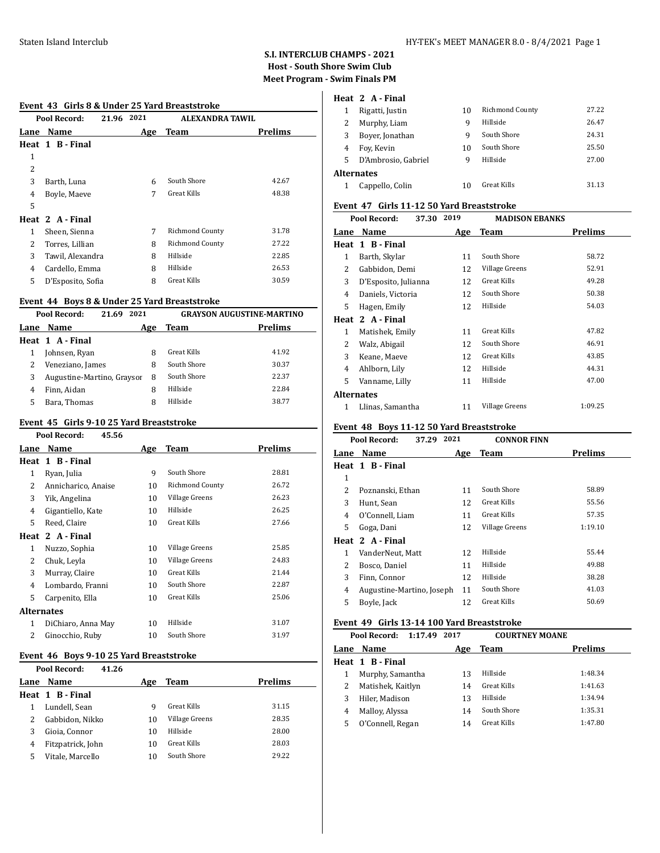#### Staten Island Interclub HY-TEK's MEET MANAGER 8.0 - 8/4/2021 Page 1

# **S.I. INTERCLUB CHAMPS - 2021 Host - South Shore Swim Club Meet Program - Swim Finals PM**

#### **Event 43 Girls 8 & Under 25 Yard Breaststroke**

|      | Pool Record:      | 2021<br>21.96 | ALEXANDRA TAWIL        |                |
|------|-------------------|---------------|------------------------|----------------|
| Lane | Name              | Age           | Team                   | <b>Prelims</b> |
|      | Heat 1 B-Final    |               |                        |                |
| 1    |                   |               |                        |                |
| 2    |                   |               |                        |                |
| 3    | Barth, Luna       | 6             | South Shore            | 42.67          |
| 4    | Boyle, Maeve      | 7             | <b>Great Kills</b>     | 48.38          |
| 5    |                   |               |                        |                |
|      | Heat 2 A-Final    |               |                        |                |
| 1    | Sheen, Sienna     | 7             | <b>Richmond County</b> | 31.78          |
| 2    | Torres, Lillian   | 8             | Richmond County        | 27.22          |
| 3    | Tawil, Alexandra  | 8             | Hillside               | 22.85          |
| 4    | Cardello, Emma    | 8             | Hillside               | 26.53          |
| 5    | D'Esposito, Sofia | 8             | <b>Great Kills</b>     | 30.59          |
|      |                   |               |                        |                |

### **Event 44 Boys 8 & Under 25 Yard Breaststroke**

|      | Pool Record:<br>2021<br>21.69 |     |             | <b>GRAYSON AUGUSTINE-MARTINO</b> |
|------|-------------------------------|-----|-------------|----------------------------------|
| Lane | Name                          | Age | <b>Team</b> | <b>Prelims</b>                   |
|      | Heat 1 A-Final                |     |             |                                  |
|      | Johnsen, Ryan                 | 8   | Great Kills | 41.92                            |
|      | Veneziano, James              | 8   | South Shore | 30.37                            |
| 3    | Augustine-Martino, Graysor    | 8   | South Shore | 22.37                            |
| 4    | Finn, Aidan                   | 8   | Hillside    | 22.84                            |
| 5    | Bara, Thomas                  | 8   | Hillside    | 38.77                            |

# **Event 45 Girls 9-10 25 Yard Breaststroke**

|                   | Pool Record:<br>45.56 |     |                        |         |
|-------------------|-----------------------|-----|------------------------|---------|
| Lane              | Name                  | Age | <b>Team</b>            | Prelims |
|                   | Heat 1 B - Final      |     |                        |         |
| 1                 | Ryan, Julia           | 9   | South Shore            | 28.81   |
| 2                 | Annicharico, Anaise   | 10  | <b>Richmond County</b> | 26.72   |
| 3                 | Yik, Angelina         | 10  | Village Greens         | 26.23   |
| 4                 | Gigantiello, Kate     | 10  | Hillside               | 26.25   |
| 5                 | Reed, Claire          | 10  | <b>Great Kills</b>     | 27.66   |
|                   | Heat 2 A-Final        |     |                        |         |
| 1                 | Nuzzo, Sophia         | 10  | Village Greens         | 25.85   |
| 2                 | Chuk, Leyla           | 10  | Village Greens         | 24.83   |
| 3                 | Murray, Claire        | 10  | Great Kills            | 21.44   |
| 4                 | Lombardo, Franni      | 10  | South Shore            | 22.87   |
| 5                 | Carpenito, Ella       | 10  | Great Kills            | 25.06   |
| <b>Alternates</b> |                       |     |                        |         |
| 1                 | DiChiaro, Anna May    | 10  | Hillside               | 31.07   |
| 2                 | Ginocchio, Ruby       | 10  | South Shore            | 31.97   |

#### **Event 46 Boys 9-10 25 Yard Breaststroke**

| Pool Record:<br>41.26 |     |                |                |
|-----------------------|-----|----------------|----------------|
| Name                  | Age | Team           | <b>Prelims</b> |
| Heat 1 B-Final        |     |                |                |
| Lundell, Sean         | q   | Great Kills    | 31.15          |
| Gabbidon. Nikko       | 10  | Village Greens | 28.35          |
| Gioia, Connor         | 10  | Hillside       | 28.00          |
| Fitzpatrick, John     | 10  | Great Kills    | 28.03          |
| Vitale, Marcello      | 10  | South Shore    | 29.22          |
|                       |     |                |                |

# **Heat 2 A - Final**

|                   | Rigatti, Justin     | 10 | <b>Richmond County</b> | 27.22 |
|-------------------|---------------------|----|------------------------|-------|
|                   | Murphy, Liam        | q  | Hillside               | 26.47 |
| 3                 | Boyer, Jonathan     | q  | South Shore            | 24.31 |
| 4                 | Foy, Kevin          | 10 | South Shore            | 25.50 |
| 5.                | D'Ambrosio, Gabriel | q  | Hillside               | 27.00 |
| <b>Alternates</b> |                     |    |                        |       |
|                   | Cappello, Colin     | 10 | Great Kills            | 31.13 |

# **Event 47 Girls 11-12 50 Yard Breaststroke**

| Pool Record:<br>37.30 |                      | 2019 | <b>MADISON EBANKS</b> |                |
|-----------------------|----------------------|------|-----------------------|----------------|
| Lane                  | Name                 | Age  | Team                  | <b>Prelims</b> |
|                       | Heat 1 B - Final     |      |                       |                |
| 1                     | Barth, Skylar        | 11   | South Shore           | 58.72          |
| 2                     | Gabbidon, Demi       | 12   | Village Greens        | 52.91          |
| 3                     | D'Esposito, Julianna | 12   | <b>Great Kills</b>    | 49.28          |
| 4                     | Daniels, Victoria    | 12   | South Shore           | 50.38          |
| 5                     | Hagen, Emily         | 12   | Hillside              | 54.03          |
|                       | Heat 2 A - Final     |      |                       |                |
| $\mathbf{1}$          | Matishek, Emily      | 11   | <b>Great Kills</b>    | 47.82          |
| 2                     | Walz, Abigail        | 12   | South Shore           | 46.91          |
| 3                     | Keane, Maeve         | 12   | <b>Great Kills</b>    | 43.85          |
| 4                     | Ahlborn, Lily        | 12   | Hillside              | 44.31          |
| 5                     | Vanname, Lilly       | 11   | Hillside              | 47.00          |
| <b>Alternates</b>     |                      |      |                       |                |
| 1                     | Llinas, Samantha     | 11   | Village Greens        | 1:09.25        |

# **Event 48 Boys 11-12 50 Yard Breaststroke**

| Pool Record:<br>37.29 |                           | 2021<br><b>CONNOR FINN</b> |                |                |
|-----------------------|---------------------------|----------------------------|----------------|----------------|
| Lane                  | Name                      | Age                        | <b>Team</b>    | <b>Prelims</b> |
|                       | Heat 1 B - Final          |                            |                |                |
| 1                     |                           |                            |                |                |
| 2                     | Poznanski, Ethan          | 11                         | South Shore    | 58.89          |
| 3                     | Hunt, Sean                | 12                         | Great Kills    | 55.56          |
| 4                     | O'Connell, Liam           | 11                         | Great Kills    | 57.35          |
| 5                     | Goga, Dani                | 12                         | Village Greens | 1:19.10        |
|                       | Heat 2 A - Final          |                            |                |                |
| 1                     | VanderNeut, Matt          | 12                         | Hillside       | 55.44          |
| 2                     | Bosco, Daniel             | 11                         | Hillside       | 49.88          |
| 3                     | Finn, Connor              | 12                         | Hillside       | 38.28          |
| 4                     | Augustine-Martino, Joseph | 11                         | South Shore    | 41.03          |
| 5                     | Boyle, Jack               | 12                         | Great Kills    | 50.69          |
|                       |                           |                            |                |                |

# **Event 49 Girls 13-14 100 Yard Breaststroke**

| Pool Record:<br>1:17.49 |                   | 2017<br><b>COURTNEY MOANE</b> |             |                |
|-------------------------|-------------------|-------------------------------|-------------|----------------|
| Lane                    | Name              | Age                           | Team        | <b>Prelims</b> |
|                         | Heat 1 B-Final    |                               |             |                |
|                         | Murphy, Samantha  | 13                            | Hillside    | 1:48.34        |
|                         | Matishek, Kaitlyn | 14                            | Great Kills | 1:41.63        |
|                         | Hiler, Madison    | 13                            | Hillside    | 1:34.94        |
| 4                       | Malloy, Alyssa    | 14                            | South Shore | 1:35.31        |
| 5                       | O'Connell, Regan  | 14                            | Great Kills | 1:47.80        |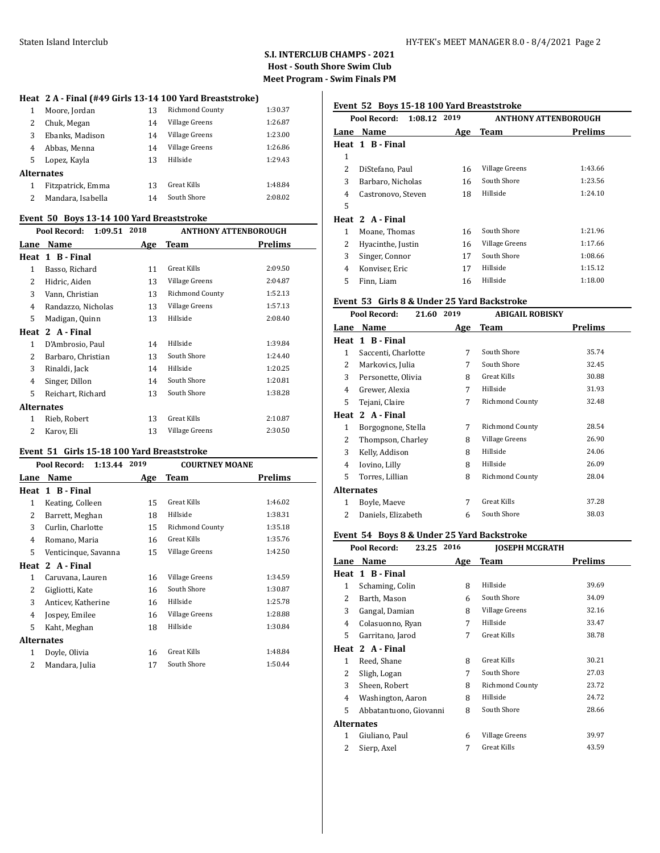### **S.I. INTERCLUB CHAMPS - 2021 Host - South Shore Swim Club Meet Program - Swim Finals PM**

#### **Heat 2 A - Final (#49 Girls 13-14 100 Yard Breaststroke)**

|   | Moore, Jordan     | 13 | <b>Richmond County</b> | 1:30.37 |
|---|-------------------|----|------------------------|---------|
| 2 | Chuk, Megan       | 14 | Village Greens         | 1:26.87 |
| 3 | Ebanks, Madison   | 14 | Village Greens         | 1:23.00 |
| 4 | Abbas, Menna      | 14 | Village Greens         | 1:26.86 |
| 5 | Lopez, Kayla      | 13 | Hillside               | 1:29.43 |
|   | <b>Alternates</b> |    |                        |         |
|   | Fitzpatrick, Emma | 13 | Great Kills            | 1:48.84 |
| 2 | Mandara, Isabella | 14 | South Shore            | 2:08.02 |
|   |                   |    |                        |         |

#### **Event 50 Boys 13-14 100 Yard Breaststroke**

| Pool Record:       |                                           | <b>ANTHONY ATTENBOROUGH</b> |         |
|--------------------|-------------------------------------------|-----------------------------|---------|
| Name               | Age                                       | Team                        | Prelims |
| 1 B - Final        |                                           |                             |         |
| Basso, Richard     | 11                                        | <b>Great Kills</b>          | 2:09.50 |
| Hidric, Aiden      | 13                                        | Village Greens              | 2:04.87 |
| Vann, Christian    | 13                                        | Richmond County             | 1:52.13 |
| Randazzo, Nicholas | 13                                        | Village Greens              | 1:57.13 |
| Madigan, Quinn     | 13                                        | Hillside                    | 2:08.40 |
| 2 A - Final        |                                           |                             |         |
| D'Ambrosio, Paul   | 14                                        | Hillside                    | 1:39.84 |
| Barbaro, Christian | 13                                        | South Shore                 | 1:24.40 |
| Rinaldi, Jack      | 14                                        | Hillside                    | 1:20.25 |
| Singer, Dillon     | 14                                        | South Shore                 | 1:20.81 |
| Reichart, Richard  | 13                                        | South Shore                 | 1:38.28 |
|                    |                                           |                             |         |
| Rieb, Robert       | 13                                        | Great Kills                 | 2:10.87 |
| Karov, Eli         | 13                                        | Village Greens              | 2:30.50 |
|                    | Lane<br>Heat<br>Heat<br><b>Alternates</b> | 1:09.51 2018                |         |

### **Event 51 Girls 15-18 100 Yard Breaststroke**

| 1:13.44 2019<br>Pool Record: |                      | <b>COURTNEY MOANE</b> |                    |                |
|------------------------------|----------------------|-----------------------|--------------------|----------------|
| Lane                         | Name                 | Age                   | Team               | <b>Prelims</b> |
| Heat                         | 1 B - Final          |                       |                    |                |
| 1                            | Keating, Colleen     | 15                    | Great Kills        | 1:46.02        |
| 2                            | Barrett, Meghan      | 18                    | Hillside           | 1:38.31        |
| 3                            | Curlin, Charlotte    | 15                    | Richmond County    | 1:35.18        |
| 4                            | Romano, Maria        | 16                    | <b>Great Kills</b> | 1:35.76        |
| 5                            | Venticinque, Savanna | 15                    | Village Greens     | 1:42.50        |
|                              | Heat 2 A-Final       |                       |                    |                |
| 1                            | Caruvana, Lauren     | 16                    | Village Greens     | 1:34.59        |
| 2                            | Gigliotti, Kate      | 16                    | South Shore        | 1:30.87        |
| 3                            | Anticev, Katherine   | 16                    | Hillside           | 1:25.78        |
| 4                            | Jospey, Emilee       | 16                    | Village Greens     | 1:28.88        |
| 5                            | Kaht, Meghan         | 18                    | Hillside           | 1:30.84        |
| Alternates                   |                      |                       |                    |                |
| 1                            | Doyle, Olivia        | 16                    | <b>Great Kills</b> | 1:48.84        |
| $\overline{\mathcal{L}}$     | Mandara, Julia       | 17                    | South Shore        | 1:50.44        |

# **Event 52 Boys 15-18 100 Yard Breaststroke**

| Pool Record:<br>1:08.12 |                    | 2019 | <b>ANTHONY ATTENBOROUGH</b> |                |
|-------------------------|--------------------|------|-----------------------------|----------------|
| Lane                    | <b>Name</b>        | Age  | Team                        | <b>Prelims</b> |
|                         | Heat 1 B-Final     |      |                             |                |
| 1                       |                    |      |                             |                |
| 2                       | DiStefano, Paul    | 16   | Village Greens              | 1:43.66        |
| 3                       | Barbaro, Nicholas  | 16   | South Shore                 | 1:23.56        |
| 4                       | Castronovo, Steven | 18   | Hillside                    | 1:24.10        |
| 5                       |                    |      |                             |                |
|                         | Heat 2 A-Final     |      |                             |                |
| 1                       | Moane, Thomas      | 16   | South Shore                 | 1:21.96        |
| 2                       | Hyacinthe, Justin  | 16   | Village Greens              | 1:17.66        |
| 3                       | Singer, Connor     | 17   | South Shore                 | 1:08.66        |
| 4                       | Konviser, Eric     | 17   | Hillside                    | 1:15.12        |
| 5                       | Finn, Liam         | 16   | Hillside                    | 1:18.00        |

# **Event 53 Girls 8 & Under 25 Yard Backstroke**

|            | Pool Record:<br>21.60 | 2019 | <b>ABIGAIL ROBISKY</b> |         |
|------------|-----------------------|------|------------------------|---------|
| Lane       | <b>Name</b>           | Age  | Team                   | Prelims |
|            | Heat 1 B-Final        |      |                        |         |
| 1          | Saccenti, Charlotte   | 7    | South Shore            | 35.74   |
| 2          | Markovics, Julia      | 7    | South Shore            | 32.45   |
| 3          | Personette, Olivia    | 8    | Great Kills            | 30.88   |
| 4          | Grewer, Alexia        | 7    | Hillside               | 31.93   |
| 5          | Tejani, Claire        | 7    | <b>Richmond County</b> | 32.48   |
| Heat       | 2 A - Final           |      |                        |         |
| 1          | Borgognone, Stella    | 7    | Richmond County        | 28.54   |
| 2          | Thompson, Charley     | 8    | Village Greens         | 26.90   |
| 3          | Kelly, Addison        | 8    | Hillside               | 24.06   |
| 4          | Iovino, Lilly         | 8    | Hillside               | 26.09   |
| 5          | Torres, Lillian       | 8    | Richmond County        | 28.04   |
| Alternates |                       |      |                        |         |
| 1          | Boyle, Maeve          | 7    | Great Kills            | 37.28   |
| 2          | Daniels, Elizabeth    | 6    | South Shore            | 38.03   |
|            |                       |      |                        |         |

#### **Event 54 Boys 8 & Under 25 Yard Backstroke**

|              | Pool Record:<br>23.25  | 2016 | <b>JOSEPH MCGRATH</b>  |                |
|--------------|------------------------|------|------------------------|----------------|
| Lane         | <b>Name</b>            | Age  | Team                   | <b>Prelims</b> |
|              | Heat 1 B-Final         |      |                        |                |
| 1            | Schaming, Colin        | 8    | Hillside               | 39.69          |
| 2            | Barth, Mason           | 6    | South Shore            | 34.09          |
| 3            | Gangal, Damian         | 8    | Village Greens         | 32.16          |
| 4            | Colasuonno, Ryan       | 7    | Hillside               | 33.47          |
| 5            | Garritano, Jarod       | 7    | <b>Great Kills</b>     | 38.78          |
|              | Heat 2 A-Final         |      |                        |                |
| $\mathbf{1}$ | Reed, Shane            | 8    | Great Kills            | 30.21          |
| 2            | Sligh, Logan           | 7    | South Shore            | 27.03          |
| 3            | Sheen, Robert          | 8    | <b>Richmond County</b> | 23.72          |
| 4            | Washington, Aaron      | 8    | Hillside               | 24.72          |
| 5            | Abbatantuono, Giovanni | 8    | South Shore            | 28.66          |
| Alternates   |                        |      |                        |                |
| 1            | Giuliano, Paul         | 6    | Village Greens         | 39.97          |
| 2            | Sierp, Axel            | 7    | <b>Great Kills</b>     | 43.59          |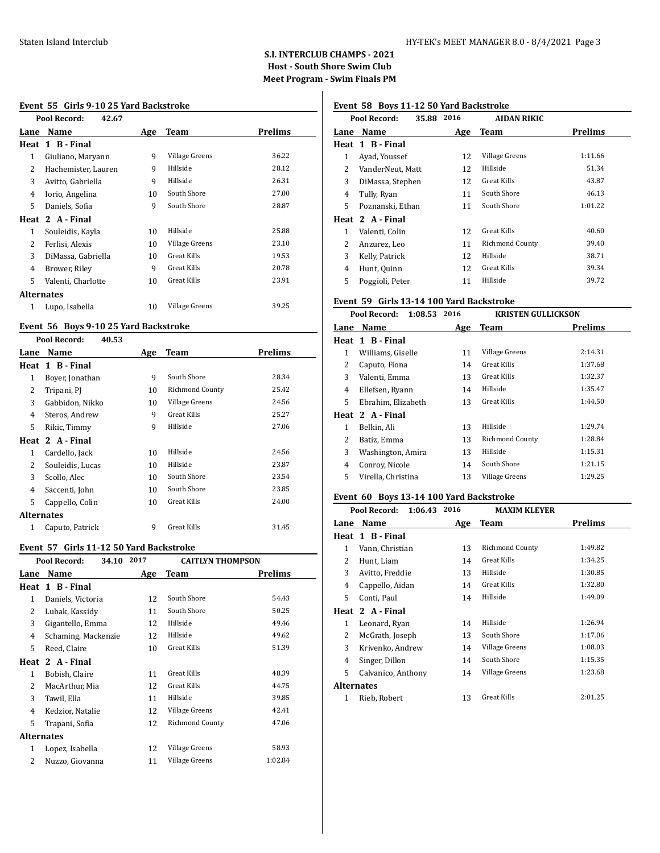### **S.I. INTERCLUB CHAMPS - 2021 Host - South Shore Swim Club Meet Program - Swim Finals PM**

# **Event 55 Girls 9-10 25 Yard Backstroke**

| Pool Record:<br>42.67 |                     |     |                |         |
|-----------------------|---------------------|-----|----------------|---------|
| Lane                  | Name                | Age | Team           | Prelims |
|                       | Heat 1 B-Final      |     |                |         |
| 1                     | Giuliano, Maryann   | 9   | Village Greens | 36.22   |
| 2                     | Hachemister, Lauren | 9   | Hillside       | 28.12   |
| 3                     | Avitto, Gabriella   | 9   | Hillside       | 26.31   |
| 4                     | Iorio, Angelina     | 10  | South Shore    | 27.00   |
| 5                     | Daniels, Sofia      | 9   | South Shore    | 28.87   |
|                       | Heat 2 A - Final    |     |                |         |
| 1                     | Souleidis, Kayla    | 10  | Hillside       | 25.88   |
| 2                     | Ferlisi, Alexis     | 10  | Village Greens | 23.10   |
| 3                     | DiMassa, Gabriella  | 10  | Great Kills    | 19.53   |
| 4                     | Brower, Riley       | 9   | Great Kills    | 20.78   |
| 5                     | Valenti, Charlotte  | 10  | Great Kills    | 23.91   |
| <b>Alternates</b>     |                     |     |                |         |
| 1                     | Lupo, Isabella      | 10  | Village Greens | 39.25   |

### **Event 56 Boys 9-10 25 Yard Backstroke**

|                   | Pool Record:<br>40.53 |     |                        |                |
|-------------------|-----------------------|-----|------------------------|----------------|
| Lane              | Name                  | Age | <b>Team</b>            | <b>Prelims</b> |
|                   | Heat 1 B-Final        |     |                        |                |
| 1                 | Boyer, Jonathan       | 9   | South Shore            | 28.34          |
| 2                 | Tripani, PJ           | 10  | <b>Richmond County</b> | 25.42          |
| 3                 | Gabbidon, Nikko       | 10  | Village Greens         | 24.56          |
| 4                 | Steros, Andrew        | 9   | Great Kills            | 25.27          |
| 5.                | Rikic, Timmy          | 9   | Hillside               | 27.06          |
|                   | Heat 2 A-Final        |     |                        |                |
| 1                 | Cardello, Jack        | 10  | Hillside               | 24.56          |
| 2                 | Souleidis, Lucas      | 10  | Hillside               | 23.87          |
| 3                 | Scollo, Alec          | 10  | South Shore            | 23.54          |
| 4                 | Saccenti, John        | 10  | South Shore            | 23.85          |
| 5                 | Cappello, Colin       | 10  | Great Kills            | 24.00          |
| <b>Alternates</b> |                       |     |                        |                |
| 1                 | Caputo, Patrick       | 9   | Great Kills            | 31.45          |

#### **Event 57 Girls 11-12 50 Yard Backstroke**

|            | Pool Record:<br>34.10 | 2017 | <b>CAITLYN THOMPSON</b> |         |
|------------|-----------------------|------|-------------------------|---------|
| Lane       | Name                  | Age  | Team                    | Prelims |
|            | Heat 1 B-Final        |      |                         |         |
| 1          | Daniels, Victoria     | 12   | South Shore             | 54.43   |
| 2          | Lubak, Kassidy        | 11   | South Shore             | 50.25   |
| 3          | Gigantello, Emma      | 12   | Hillside                | 49.46   |
| 4          | Schaming, Mackenzie   | 12   | Hillside                | 49.62   |
| 5          | Reed, Claire          | 10   | <b>Great Kills</b>      | 51.39   |
|            | Heat 2 A-Final        |      |                         |         |
| 1          | Bobish, Claire        | 11   | Great Kills             | 48.39   |
| 2          | MacArthur, Mia        | 12   | Great Kills             | 44.75   |
| 3          | Tawil, Ella           | 11   | Hillside                | 39.85   |
| 4          | Kedzior, Natalie      | 12   | Village Greens          | 42.41   |
| 5          | Trapani, Sofia        | 12   | Richmond County         | 47.06   |
| Alternates |                       |      |                         |         |
| 1          | Lopez, Isabella       | 12   | Village Greens          | 58.93   |
| 2          | Nuzzo, Giovanna       | 11   | Village Greens          | 1:02.84 |
|            |                       |      |                         |         |

# **Event 58 Boys 11-12 50 Yard Backstroke**

|      | Pool Record:<br>35.88 | 2016 | AIDAN RIKIC            |                |
|------|-----------------------|------|------------------------|----------------|
| Lane | <b>Name</b>           | Age  | <b>Team</b>            | <b>Prelims</b> |
|      | Heat 1 B-Final        |      |                        |                |
| 1    | Ayad, Youssef         | 12   | <b>Village Greens</b>  | 1:11.66        |
| 2    | VanderNeut, Matt      | 12   | Hillside               | 51.34          |
| 3    | DiMassa, Stephen      | 12   | Great Kills            | 43.87          |
| 4    | Tully, Ryan           | 11   | South Shore            | 46.13          |
| 5    | Poznanski, Ethan      | 11   | South Shore            | 1:01.22        |
|      | Heat 2 A - Final      |      |                        |                |
| 1    | Valenti, Colin        | 12   | Great Kills            | 40.60          |
| 2    | Anzurez, Leo          | 11   | <b>Richmond County</b> | 39.40          |
| 3    | Kelly, Patrick        | 12   | Hillside               | 38.71          |
| 4    | Hunt, Quinn           | 12   | Great Kills            | 39.34          |
| 5    | Poggioli, Peter       | 11   | Hillside               | 39.72          |

# **Event 59 Girls 13-14 100 Yard Backstroke**

|   | 1:08.53 2016<br>Pool Record: |     | <b>KRISTEN GULLICKSON</b> |                |
|---|------------------------------|-----|---------------------------|----------------|
|   | Lane Name                    | Age | Team                      | <b>Prelims</b> |
|   | Heat 1 B-Final               |     |                           |                |
| 1 | Williams, Giselle            | 11  | Village Greens            | 2:14.31        |
| 2 | Caputo, Fiona                | 14  | Great Kills               | 1:37.68        |
| 3 | Valenti, Emma                | 13  | Great Kills               | 1:32.37        |
| 4 | Ellefsen, Ryann              | 14  | Hillside                  | 1:35.47        |
| 5 | Ebrahim, Elizabeth           | 13  | Great Kills               | 1:44.50        |
|   | Heat 2 A - Final             |     |                           |                |
| 1 | Belkin, Ali                  | 13  | Hillside                  | 1:29.74        |
| 2 | Batiz, Emma                  | 13  | <b>Richmond County</b>    | 1:28.84        |
| 3 | Washington, Amira            | 13  | Hillside                  | 1:15.31        |
| 4 | Conroy, Nicole               | 14  | South Shore               | 1:21.15        |
| 5 | Virella, Christina           | 13  | Village Greens            | 1:29.25        |

# **Event 60 Boys 13-14 100 Yard Backstroke**

|                   | Pool Record:<br>1:06.43 2016 |     | <b>MAXIM KLEYER</b> |         |
|-------------------|------------------------------|-----|---------------------|---------|
| Lane              | Name                         | Age | Team                | Prelims |
|                   | Heat 1 B-Final               |     |                     |         |
| $\mathbf{1}$      | Vann, Christian              | 13  | Richmond County     | 1:49.82 |
| 2                 | Hunt, Liam                   | 14  | <b>Great Kills</b>  | 1:34.25 |
| 3                 | Avitto, Freddie              | 13  | Hillside            | 1:30.85 |
| 4                 | Cappello, Aidan              | 14  | <b>Great Kills</b>  | 1:32.80 |
| 5                 | Conti, Paul                  | 14  | Hillside            | 1:49.09 |
| Heat              | 2 A Final                    |     |                     |         |
| $\mathbf{1}$      | Leonard, Ryan                | 14  | Hillside            | 1:26.94 |
| 2                 | McGrath, Joseph              | 13  | South Shore         | 1:17.06 |
| 3                 | Krivenko, Andrew             | 14  | Village Greens      | 1:08.03 |
| 4                 | Singer, Dillon               | 14  | South Shore         | 1:15.35 |
| 5                 | Calvanico, Anthony           | 14  | Village Greens      | 1:23.68 |
| <b>Alternates</b> |                              |     |                     |         |
| 1                 | Rieb, Robert                 | 13  | <b>Great Kills</b>  | 2:01.25 |